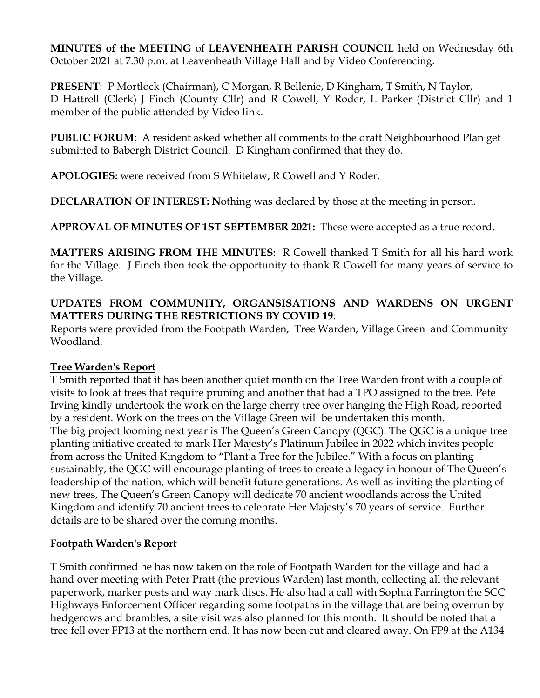**MINUTES of the MEETING** of **LEAVENHEATH PARISH COUNCIL** held on Wednesday 6th October 2021 at 7.30 p.m. at Leavenheath Village Hall and by Video Conferencing.

**PRESENT**: P Mortlock (Chairman), C Morgan, R Bellenie, D Kingham, T Smith, N Taylor, D Hattrell (Clerk) J Finch (County Cllr) and R Cowell, Y Roder, L Parker (District Cllr) and 1 member of the public attended by Video link.

**PUBLIC FORUM**: A resident asked whether all comments to the draft Neighbourhood Plan get submitted to Babergh District Council. D Kingham confirmed that they do.

**APOLOGIES:** were received from S Whitelaw, R Cowell and Y Roder.

**DECLARATION OF INTEREST: N**othing was declared by those at the meeting in person.

**APPROVAL OF MINUTES OF 1ST SEPTEMBER 2021:** These were accepted as a true record.

**MATTERS ARISING FROM THE MINUTES:** R Cowell thanked T Smith for all his hard work for the Village. J Finch then took the opportunity to thank R Cowell for many years of service to the Village.

# **UPDATES FROM COMMUNITY, ORGANSISATIONS AND WARDENS ON URGENT MATTERS DURING THE RESTRICTIONS BY COVID 19**:

Reports were provided from the Footpath Warden, Tree Warden, Village Green and Community Woodland.

#### **Tree Warden's Report**

T Smith reported that it has been another quiet month on the Tree Warden front with a couple of visits to look at trees that require pruning and another that had a TPO assigned to the tree. Pete Irving kindly undertook the work on the large cherry tree over hanging the High Road, reported by a resident. Work on the trees on the Village Green will be undertaken this month. The big project looming next year is The Queen's Green Canopy (QGC). The QGC is a unique tree planting initiative created to mark Her Majesty's Platinum Jubilee in 2022 which invites people from across the United Kingdom to **"**Plant a Tree for the Jubilee." With a focus on planting sustainably, the QGC will encourage planting of trees to create a legacy in honour of The Queen's leadership of the nation, which will benefit future generations. As well as inviting the planting of new trees, The Queen's Green Canopy will dedicate 70 ancient woodlands across the United Kingdom and identify 70 ancient trees to celebrate Her Majesty's 70 years of service. Further details are to be shared over the coming months.

#### **Footpath Warden's Report**

T Smith confirmed he has now taken on the role of Footpath Warden for the village and had a hand over meeting with Peter Pratt (the previous Warden) last month, collecting all the relevant paperwork, marker posts and way mark discs. He also had a call with Sophia Farrington the SCC Highways Enforcement Officer regarding some footpaths in the village that are being overrun by hedgerows and brambles, a site visit was also planned for this month. It should be noted that a tree fell over FP13 at the northern end. It has now been cut and cleared away. On FP9 at the A134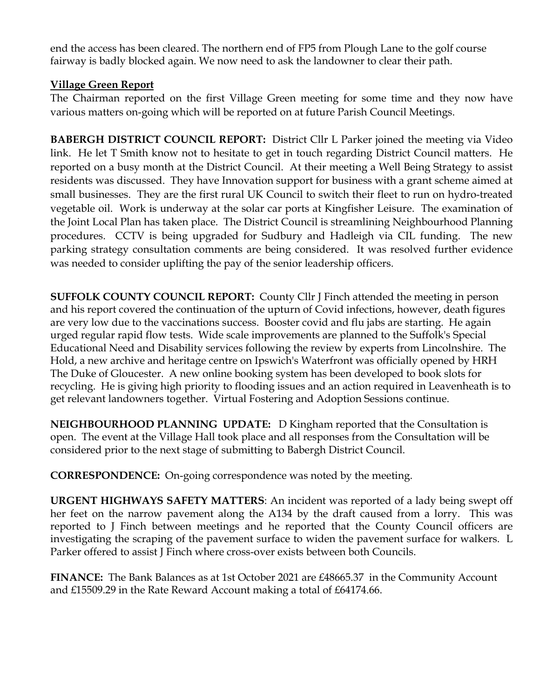end the access has been cleared. The northern end of FP5 from Plough Lane to the golf course fairway is badly blocked again. We now need to ask the landowner to clear their path.

### **Village Green Report**

The Chairman reported on the first Village Green meeting for some time and they now have various matters on-going which will be reported on at future Parish Council Meetings.

**BABERGH DISTRICT COUNCIL REPORT:** District Cllr L Parker joined the meeting via Video link. He let T Smith know not to hesitate to get in touch regarding District Council matters. He reported on a busy month at the District Council. At their meeting a Well Being Strategy to assist residents was discussed. They have Innovation support for business with a grant scheme aimed at small businesses. They are the first rural UK Council to switch their fleet to run on hydro-treated vegetable oil. Work is underway at the solar car ports at Kingfisher Leisure. The examination of the Joint Local Plan has taken place. The District Council is streamlining Neighbourhood Planning procedures. CCTV is being upgraded for Sudbury and Hadleigh via CIL funding. The new parking strategy consultation comments are being considered. It was resolved further evidence was needed to consider uplifting the pay of the senior leadership officers.

**SUFFOLK COUNTY COUNCIL REPORT:** County Cllr J Finch attended the meeting in person and his report covered the continuation of the upturn of Covid infections, however, death figures are very low due to the vaccinations success. Booster covid and flu jabs are starting. He again urged regular rapid flow tests. Wide scale improvements are planned to the Suffolk's Special Educational Need and Disability services following the review by experts from Lincolnshire. The Hold, a new archive and heritage centre on Ipswich's Waterfront was officially opened by HRH The Duke of Gloucester. A new online booking system has been developed to book slots for recycling. He is giving high priority to flooding issues and an action required in Leavenheath is to get relevant landowners together. Virtual Fostering and Adoption Sessions continue.

**NEIGHBOURHOOD PLANNING UPDATE:** D Kingham reported that the Consultation is open. The event at the Village Hall took place and all responses from the Consultation will be considered prior to the next stage of submitting to Babergh District Council.

**CORRESPONDENCE:** On-going correspondence was noted by the meeting.

**URGENT HIGHWAYS SAFETY MATTERS**: An incident was reported of a lady being swept off her feet on the narrow pavement along the A134 by the draft caused from a lorry. This was reported to J Finch between meetings and he reported that the County Council officers are investigating the scraping of the pavement surface to widen the pavement surface for walkers. L Parker offered to assist J Finch where cross-over exists between both Councils.

**FINANCE:** The Bank Balances as at 1st October 2021 are £48665.37 in the Community Account and £15509.29 in the Rate Reward Account making a total of £64174.66.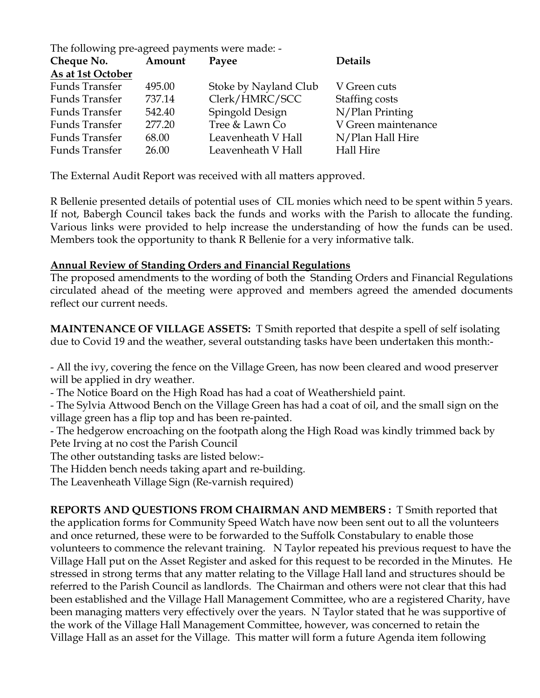| The following pre-agreed payments were made: - |        |                       |                     |
|------------------------------------------------|--------|-----------------------|---------------------|
| Cheque No.                                     | Amount | Payee                 | <b>Details</b>      |
| As at 1st October                              |        |                       |                     |
| <b>Funds Transfer</b>                          | 495.00 | Stoke by Nayland Club | V Green cuts        |
| <b>Funds Transfer</b>                          | 737.14 | Clerk/HMRC/SCC        | Staffing costs      |
| <b>Funds Transfer</b>                          | 542.40 | Spingold Design       | N/Plan Printing     |
| <b>Funds Transfer</b>                          | 277.20 | Tree & Lawn Co        | V Green maintenance |
| <b>Funds Transfer</b>                          | 68.00  | Leavenheath V Hall    | N/Plan Hall Hire    |
| <b>Funds Transfer</b>                          | 26.00  | Leavenheath V Hall    | <b>Hall Hire</b>    |

The External Audit Report was received with all matters approved.

R Bellenie presented details of potential uses of CIL monies which need to be spent within 5 years. If not, Babergh Council takes back the funds and works with the Parish to allocate the funding. Various links were provided to help increase the understanding of how the funds can be used. Members took the opportunity to thank R Bellenie for a very informative talk.

#### **Annual Review of Standing Orders and Financial Regulations**

The proposed amendments to the wording of both the Standing Orders and Financial Regulations circulated ahead of the meeting were approved and members agreed the amended documents reflect our current needs.

**MAINTENANCE OF VILLAGE ASSETS:** T Smith reported that despite a spell of self isolating due to Covid 19 and the weather, several outstanding tasks have been undertaken this month:-

- All the ivy, covering the fence on the Village Green, has now been cleared and wood preserver will be applied in dry weather.

- The Notice Board on the High Road has had a coat of Weathershield paint.

- The Sylvia Attwood Bench on the Village Green has had a coat of oil, and the small sign on the village green has a flip top and has been re-painted.

- The hedgerow encroaching on the footpath along the High Road was kindly trimmed back by Pete Irving at no cost the Parish Council

The other outstanding tasks are listed below:-

The Hidden bench needs taking apart and re-building.

The Leavenheath Village Sign (Re-varnish required)

**REPORTS AND QUESTIONS FROM CHAIRMAN AND MEMBERS :** T Smith reported that the application forms for Community Speed Watch have now been sent out to all the volunteers and once returned, these were to be forwarded to the Suffolk Constabulary to enable those volunteers to commence the relevant training. N Taylor repeated his previous request to have the Village Hall put on the Asset Register and asked for this request to be recorded in the Minutes. He stressed in strong terms that any matter relating to the Village Hall land and structures should be referred to the Parish Council as landlords. The Chairman and others were not clear that this had been established and the Village Hall Management Committee, who are a registered Charity, have been managing matters very effectively over the years. N Taylor stated that he was supportive of the work of the Village Hall Management Committee, however, was concerned to retain the Village Hall as an asset for the Village. This matter will form a future Agenda item following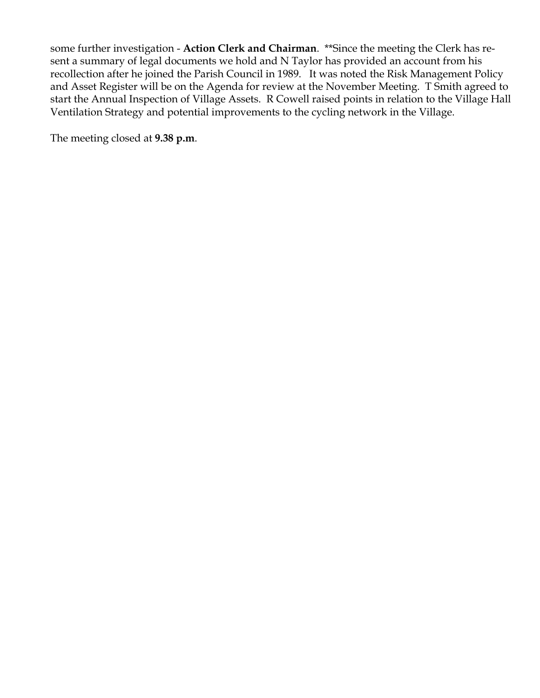some further investigation - **Action Clerk and Chairman**. \*\*Since the meeting the Clerk has resent a summary of legal documents we hold and N Taylor has provided an account from his recollection after he joined the Parish Council in 1989. It was noted the Risk Management Policy and Asset Register will be on the Agenda for review at the November Meeting. T Smith agreed to start the Annual Inspection of Village Assets. R Cowell raised points in relation to the Village Hall Ventilation Strategy and potential improvements to the cycling network in the Village.

The meeting closed at **9.38 p.m**.